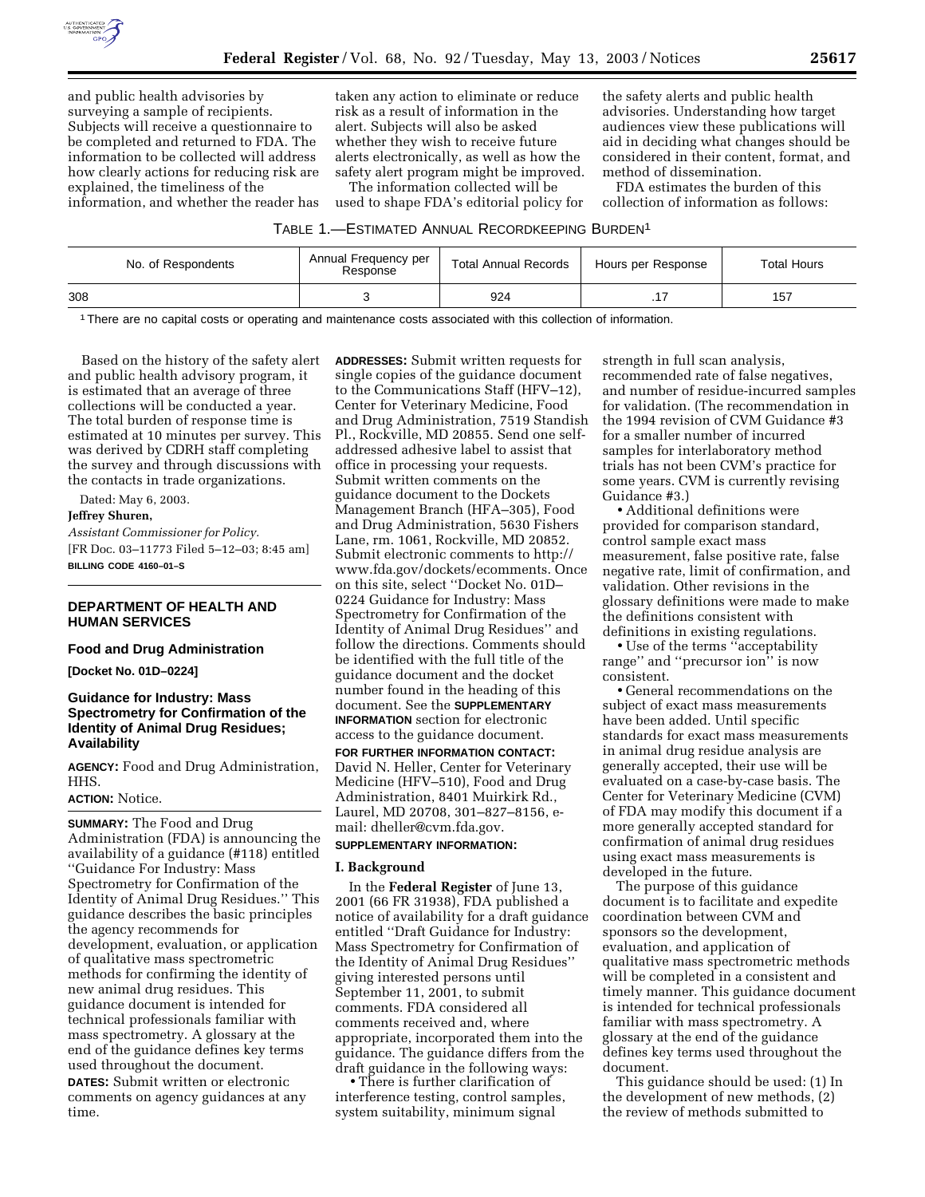

and public health advisories by surveying a sample of recipients. Subjects will receive a questionnaire to be completed and returned to FDA. The information to be collected will address how clearly actions for reducing risk are explained, the timeliness of the information, and whether the reader has

taken any action to eliminate or reduce risk as a result of information in the alert. Subjects will also be asked whether they wish to receive future alerts electronically, as well as how the safety alert program might be improved.

The information collected will be used to shape FDA's editorial policy for

the safety alerts and public health advisories. Understanding how target audiences view these publications will aid in deciding what changes should be considered in their content, format, and method of dissemination.

FDA estimates the burden of this collection of information as follows:

### TABLE 1.—ESTIMATED ANNUAL RECORDKEEPING BURDEN1

| No. of Respondents | Annual Frequency per<br>Response | <b>Total Annual Records</b> | Hours per Response | <b>Total Hours</b> |
|--------------------|----------------------------------|-----------------------------|--------------------|--------------------|
| 308                |                                  | 924                         |                    | 157                |

1There are no capital costs or operating and maintenance costs associated with this collection of information.

Based on the history of the safety alert and public health advisory program, it is estimated that an average of three collections will be conducted a year. The total burden of response time is estimated at 10 minutes per survey. This was derived by CDRH staff completing the survey and through discussions with the contacts in trade organizations.

**Jeffrey Shuren,** *Assistant Commissioner for Policy.* [FR Doc. 03–11773 Filed 5–12–03; 8:45 am] **BILLING CODE 4160–01–S**

# **DEPARTMENT OF HEALTH AND HUMAN SERVICES**

#### **Food and Drug Administration**

**[Docket No. 01D–0224]**

Dated: May 6, 2003.

# **Guidance for Industry: Mass Spectrometry for Confirmation of the Identity of Animal Drug Residues; Availability**

**AGENCY:** Food and Drug Administration, HHS.

#### **ACTION:** Notice.

**SUMMARY:** The Food and Drug Administration (FDA) is announcing the availability of a guidance (#118) entitled ''Guidance For Industry: Mass Spectrometry for Confirmation of the Identity of Animal Drug Residues.'' This guidance describes the basic principles the agency recommends for development, evaluation, or application of qualitative mass spectrometric methods for confirming the identity of new animal drug residues. This guidance document is intended for technical professionals familiar with mass spectrometry. A glossary at the end of the guidance defines key terms used throughout the document.

**DATES:** Submit written or electronic comments on agency guidances at any time.

**ADDRESSES:** Submit written requests for single copies of the guidance document to the Communications Staff (HFV–12), Center for Veterinary Medicine, Food and Drug Administration, 7519 Standish Pl., Rockville, MD 20855. Send one selfaddressed adhesive label to assist that office in processing your requests. Submit written comments on the guidance document to the Dockets Management Branch (HFA–305), Food and Drug Administration, 5630 Fishers Lane, rm. 1061, Rockville, MD 20852. Submit electronic comments to http:// www.fda.gov/dockets/ecomments. Once on this site, select ''Docket No. 01D– 0224 Guidance for Industry: Mass Spectrometry for Confirmation of the Identity of Animal Drug Residues'' and follow the directions. Comments should be identified with the full title of the guidance document and the docket number found in the heading of this document. See the **SUPPLEMENTARY INFORMATION** section for electronic access to the guidance document.

**FOR FURTHER INFORMATION CONTACT:** David N. Heller, Center for Veterinary Medicine (HFV–510), Food and Drug Administration, 8401 Muirkirk Rd., Laurel, MD 20708, 301–827–8156, email: dheller@cvm.fda.gov.

## **SUPPLEMENTARY INFORMATION:**

#### **I. Background**

In the **Federal Register** of June 13, 2001 (66 FR 31938), FDA published a notice of availability for a draft guidance entitled ''Draft Guidance for Industry: Mass Spectrometry for Confirmation of the Identity of Animal Drug Residues'' giving interested persons until September 11, 2001, to submit comments. FDA considered all comments received and, where appropriate, incorporated them into the guidance. The guidance differs from the draft guidance in the following ways:

• There is further clarification of interference testing, control samples, system suitability, minimum signal

strength in full scan analysis, recommended rate of false negatives, and number of residue-incurred samples for validation. (The recommendation in the 1994 revision of CVM Guidance #3 for a smaller number of incurred samples for interlaboratory method trials has not been CVM's practice for some years. CVM is currently revising Guidance #3.)

• Additional definitions were provided for comparison standard, control sample exact mass measurement, false positive rate, false negative rate, limit of confirmation, and validation. Other revisions in the glossary definitions were made to make the definitions consistent with definitions in existing regulations.

• Use of the terms ''acceptability range'' and ''precursor ion'' is now consistent.

• General recommendations on the subject of exact mass measurements have been added. Until specific standards for exact mass measurements in animal drug residue analysis are generally accepted, their use will be evaluated on a case-by-case basis. The Center for Veterinary Medicine (CVM) of FDA may modify this document if a more generally accepted standard for confirmation of animal drug residues using exact mass measurements is developed in the future.

The purpose of this guidance document is to facilitate and expedite coordination between CVM and sponsors so the development, evaluation, and application of qualitative mass spectrometric methods will be completed in a consistent and timely manner. This guidance document is intended for technical professionals familiar with mass spectrometry. A glossary at the end of the guidance defines key terms used throughout the document.

This guidance should be used: (1) In the development of new methods, (2) the review of methods submitted to